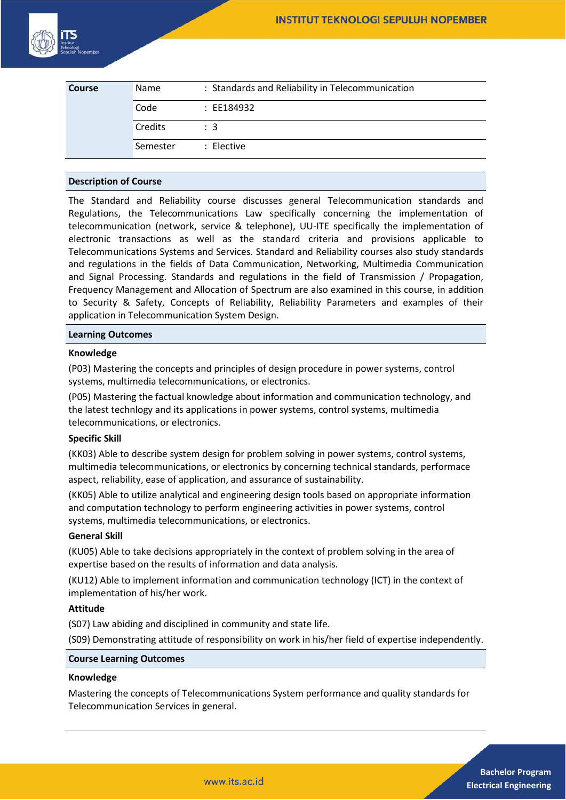

| <b>Course</b> | Name     | : Standards and Reliability in Telecommunication |
|---------------|----------|--------------------------------------------------|
|               | Code     | : EE184932                                       |
|               | Credits  | $\therefore$ 3                                   |
|               | Semester | : Elective                                       |

#### **Description of Course**

The Standard and Reliability course discusses general Telecommunication standards and Regulations, the Telecommunications Law specifically concerning the implementation of telecommunication (network, service & telephone), UU-ITE specifically the implementation of electronic transactions as well as the standard criteria and provisions applicable to Telecommunications Systems and Services. Standard and Reliability courses also study standards and regulations in the fields of Data Communication, Networking, Multimedia Communication and Signal Processing. Standards and regulations in the field of Transmission / Propagation, Frequency Management and Allocation of Spectrum are also examined in this course, in addition to Security & Safety, Concepts of Reliability, Reliability Parameters and examples of their application in Telecommunication System Design.

#### **Learning Outcomes**

#### **Knowledge**

(P03) Mastering the concepts and principles of design procedure in power systems, control systems, multimedia telecommunications, or electronics.

(P05) Mastering the factual knowledge about information and communication technology, and the latest technlogy and its applications in power systems, control systems, multimedia telecommunications, or electronics.

# **Specific Skill**

(KK03) Able to describe system design for problem solving in power systems, control systems, multimedia telecommunications, or electronics by concerning technical standards, performace aspect, reliability, ease of application, and assurance of sustainability.

(KK05) Able to utilize analytical and engineering design tools based on appropriate information and computation technology to perform engineering activities in power systems, control systems, multimedia telecommunications, or electronics.

### **General Skill**

(KU05) Able to take decisions appropriately in the context of problem solving in the area of expertise based on the results of information and data analysis.

(KU12) Able to implement information and communication technology (ICT) in the context of implementation of his/her work.

### **Attitude**

(S07) Law abiding and disciplined in community and state life.

(S09) Demonstrating attitude of responsibility on work in his/her field of expertise independently.

## **Course Learning Outcomes**

#### **Knowledge**

Mastering the concepts of Telecommunications System performance and quality standards for Telecommunication Services in general.